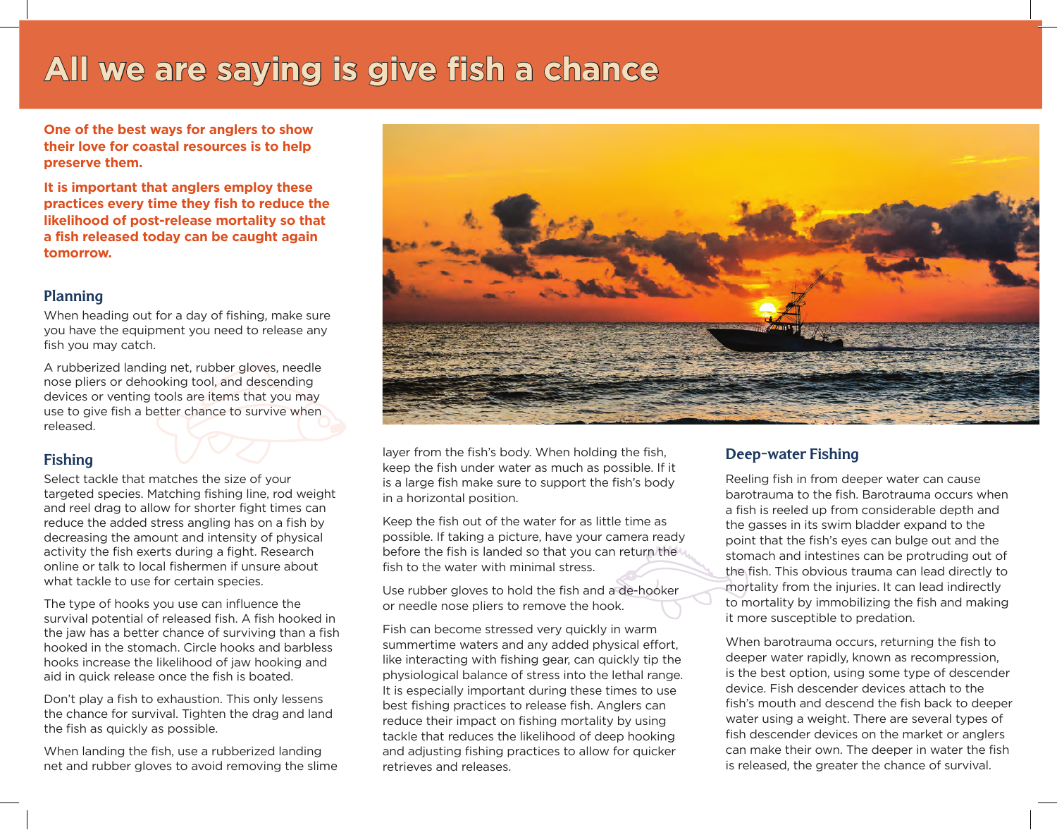# **All we are saying is give fish a chance**

**One of the best ways for anglers to show their love for coastal resources is to help preserve them.** 

**It is important that anglers employ these practices every time they fish to reduce the likelihood of post-release mortality so that a fish released today can be caught again tomorrow.**

#### **Planning**

When heading out for a day of fishing, make sure you have the equipment you need to release any fish you may catch.

A rubberized landing net, rubber gloves, needle nose pliers or dehooking tool, and descending devices or venting tools are items that you may use to give fish a better chance to survive when released.

## **Fishing**

Select tackle that matches the size of your targeted species. Matching fishing line, rod weight and reel drag to allow for shorter fight times can reduce the added stress angling has on a fish by decreasing the amount and intensity of physical activity the fish exerts during a fight. Research online or talk to local fishermen if unsure about what tackle to use for certain species.

The type of hooks you use can influence the survival potential of released fish. A fish hooked in the jaw has a better chance of surviving than a fish hooked in the stomach. Circle hooks and barbless hooks increase the likelihood of jaw hooking and aid in quick release once the fish is boated.

Don't play a fish to exhaustion. This only lessens the chance for survival. Tighten the drag and land the fish as quickly as possible.

When landing the fish, use a rubberized landing net and rubber gloves to avoid removing the slime



layer from the fish's body. When holding the fish, keep the fish under water as much as possible. If it is a large fish make sure to support the fish's body in a horizontal position.

Keep the fish out of the water for as little time as possible. If taking a picture, have your camera ready before the fish is landed so that you can return the fish to the water with minimal stress.

Use rubber gloves to hold the fish and a de-hooker or needle nose pliers to remove the hook.

Fish can become stressed very quickly in warm summertime waters and any added physical effort, like interacting with fishing gear, can quickly tip the physiological balance of stress into the lethal range. It is especially important during these times to use best fishing practices to release fish. Anglers can reduce their impact on fishing mortality by using tackle that reduces the likelihood of deep hooking and adjusting fishing practices to allow for quicker retrieves and releases.

### **Deep-water Fishing**

Reeling fish in from deeper water can cause barotrauma to the fish. Barotrauma occurs when a fish is reeled up from considerable depth and the gasses in its swim bladder expand to the point that the fish's eyes can bulge out and the stomach and intestines can be protruding out of the fish. This obvious trauma can lead directly to mortality from the injuries. It can lead indirectly to mortality by immobilizing the fish and making it more susceptible to predation.

When barotrauma occurs, returning the fish to deeper water rapidly, known as recompression, is the best option, using some type of descender device. Fish descender devices attach to the fish's mouth and descend the fish back to deeper water using a weight. There are several types of fish descender devices on the market or anglers can make their own. The deeper in water the fish is released, the greater the chance of survival.